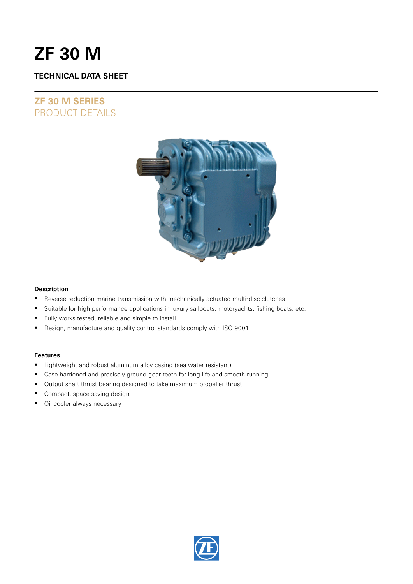# **ZF 30 M**

### **TECHNICAL DATA SHEET**

## **ZF 30 M SERIES** PRODUCT DETAILS



### **Description**

- Reverse reduction marine transmission with mechanically actuated multi-disc clutches
- **Suitable for high performance applications in luxury sailboats, motoryachts, fishing boats, etc.**
- Fully works tested, reliable and simple to install
- Design, manufacture and quality control standards comply with ISO 9001

### **Features**

- **E** Lightweight and robust aluminum alloy casing (sea water resistant)
- Case hardened and precisely ground gear teeth for long life and smooth running
- **•** Output shaft thrust bearing designed to take maximum propeller thrust
- **Compact, space saving design**
- **Oil cooler always necessary**

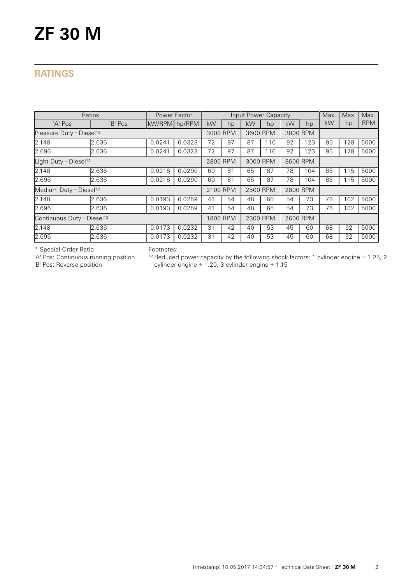# **ZF 30 M**

## **RATINGS**

| Ratios                                 | Power Factor |               | Input Power Capacity |          |    |          |     |          | Max. | Max. | Max. |            |
|----------------------------------------|--------------|---------------|----------------------|----------|----|----------|-----|----------|------|------|------|------------|
| 'A' Pos                                | 'B' Pos      | kW/RPM hp/RPM |                      | kW       | hp | kW       | hp  | kW       | hp   | kW   | hp   | <b>RPM</b> |
| Pleasure Duty - Diesel <sup>12</sup>   |              |               |                      | 3000 RPM |    | 3600 RPM |     | 3800 RPM |      |      |      |            |
| 2.148                                  | 2.636        | 0.0241        | 0.0323               | 72       | 97 | 87       | 116 | 92       | 123  | 95   | 128  | 5000       |
| 2.696                                  | 2.636        | 0.0241        | 0.0323               | 72       | 97 | 87       | 116 | 92       | 123  | 95   | 128  | 5000       |
| Light Duty - Diesel <sup>12</sup>      |              |               |                      | 2800 RPM |    | 3000 RPM |     | 3600 RPM |      |      |      |            |
| 2.148                                  | 2.636        | 0.0216        | 0.0290               | 60       | 81 | 65       | 87  | 78       | 104  | 86   | 115  | 5000       |
| 2.696                                  | 2.636        | 0.0216        | 0.0290               | 60       | 81 | 65       | 87  | 78       | 104  | 86   | 115  | 5000       |
| Medium Duty - Diesel <sup>12</sup>     |              |               |                      | 2100 RPM |    | 2500 RPM |     | 2800 RPM |      |      |      |            |
| 2.148                                  | 2.636        | 0.0193        | 0.0259               | 41       | 54 | 48       | 65  | 54       | 73   | 76   | 102  | 5000       |
| 2.696                                  | 2.636        | 0.0193        | 0.0259               | 41       | 54 | 48       | 65  | 54       | 73   | 76   | 102  | 5000       |
| Continuous Duty - Diesel <sup>12</sup> |              |               |                      | 1800 RPM |    | 2300 RPM |     | 2600 RPM |      |      |      |            |
| 2.148                                  | 2.636        | 0.0173        | 0.0232               | 31       | 42 | 40       | 53  | 45       | 60   | 68   | 92   | 5000       |
| 2.696                                  | 2.636        | 0.0173        | 0.0232               | 31       | 42 | 40       | 53  | 45       | 60   | 68   | 92   | 5000       |

\* Special Order Ratio

'A' Pos: Continuous running position

'B' Pos: Reverse position

Footnotes:

 $12$  Reduced power capacity by the following shock factors: 1 cylinder engine  $\div$  1.25, 2 cylinder engine ÷ 1.20, 3 cylinder engine ÷ 1.15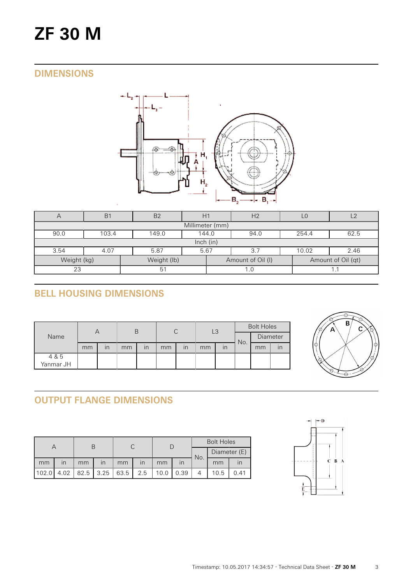# **ZF 30 M**

## **DIMENSIONS**



| $\overline{\phantom{0}}$   | B <sub>1</sub>                                   | B <sub>2</sub> |  | H <sub>2</sub> |                   | L0 |                    |  |  |  |  |
|----------------------------|--------------------------------------------------|----------------|--|----------------|-------------------|----|--------------------|--|--|--|--|
| Millimeter (mm)            |                                                  |                |  |                |                   |    |                    |  |  |  |  |
| 90.0                       | 254.4<br>149.0<br>103.4<br>144.0<br>94.0<br>62.5 |                |  |                |                   |    |                    |  |  |  |  |
|                            | lnch (in)                                        |                |  |                |                   |    |                    |  |  |  |  |
| 3.54                       | 4.07<br>5.87<br>10.02<br>5.67<br>2.46<br>3.7     |                |  |                |                   |    |                    |  |  |  |  |
| Weight (kg)<br>Weight (lb) |                                                  |                |  |                | Amount of Oil (I) |    | Amount of Oil (qt) |  |  |  |  |
| 23                         |                                                  | -51            |  |                | 1.0               |    |                    |  |  |  |  |

# **BELL HOUSING DIMENSIONS**

|                    | Α  |                         | Β                                                                                                                 |  | $\cap$   |  | LЗ |  | <b>Bolt Holes</b> |  |    |
|--------------------|----|-------------------------|-------------------------------------------------------------------------------------------------------------------|--|----------|--|----|--|-------------------|--|----|
| Name               |    |                         | U<br>No.<br>$\cdot$<br>$\overline{\mathsf{I}}$<br>mm<br>mm<br>mm<br>$\overline{\mathsf{I}}$<br>$\mathsf{I}$<br>mm |  | Diameter |  |    |  |                   |  |    |
|                    | mm | $\overline{\mathsf{I}}$ |                                                                                                                   |  |          |  |    |  |                   |  | ır |
| 4 & 5<br>Yanmar JH |    |                         |                                                                                                                   |  |          |  |    |  |                   |  |    |
|                    |    |                         |                                                                                                                   |  |          |  |    |  |                   |  |    |



# **OUTPUT FLANGE DIMENSIONS**

|       |              |      |                         |      |                         |      |      | <b>Bolt Holes</b> |              |      |  |
|-------|--------------|------|-------------------------|------|-------------------------|------|------|-------------------|--------------|------|--|
|       |              |      |                         |      |                         |      |      | No.               | Diameter (E) |      |  |
| mm    | $\mathsf{I}$ | mm   | $\overline{\mathsf{I}}$ | mm   | $\overline{\mathsf{I}}$ | mm   |      |                   | mm           |      |  |
| 102.0 | 4.02         | 82.5 | 3.25                    | 63.5 | 2.5                     | 10.0 | 0.39 |                   | 10.5         | 0.41 |  |